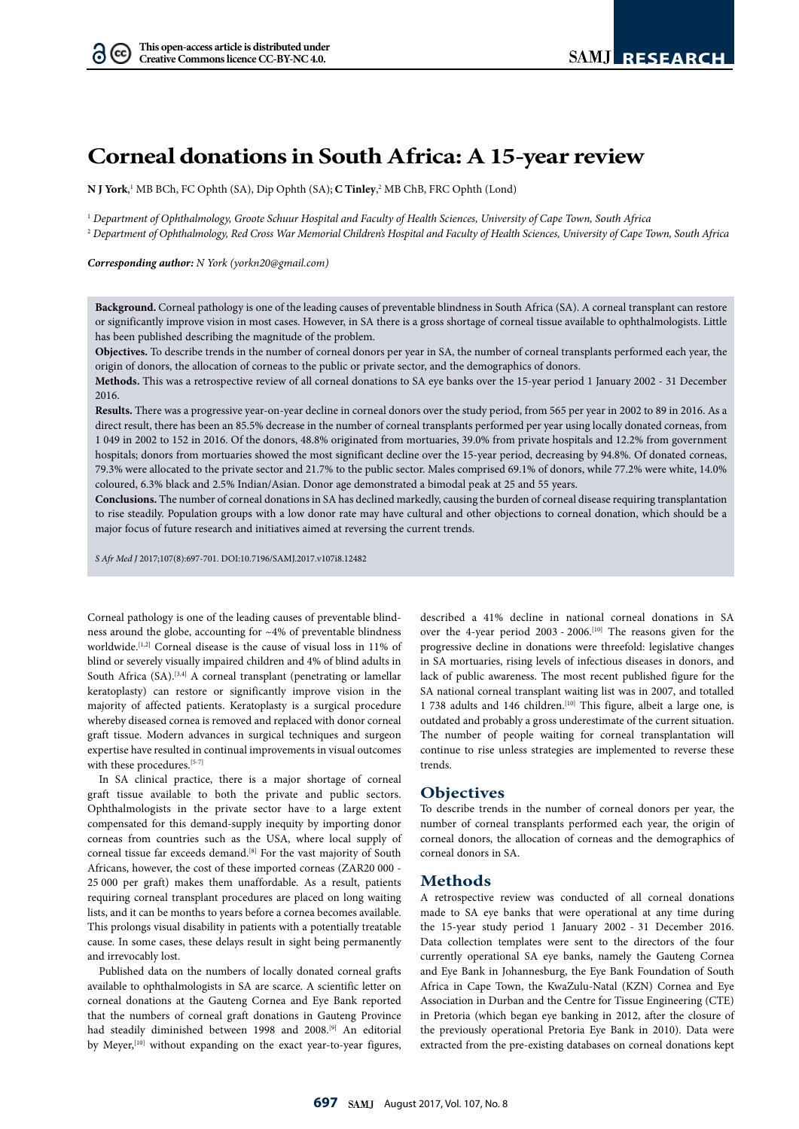$(cc)$ 

# **Corneal donations in South Africa: A 15-year review**

 $\bf N$  **J York**,<sup>1</sup> MB BCh, FC Ophth (SA), Dip Ophth (SA);  $\bf C$  Tinley, $^2$  MB ChB, FRC Ophth (Lond)

<sup>1</sup> *Department of Ophthalmology, Groote Schuur Hospital and Faculty of Health Sciences, University of Cape Town, South Africa*

<sup>2</sup> *Department of Ophthalmology, Red Cross War Memorial Children's Hospital and Faculty of Health Sciences, University of Cape Town, South Africa*

*Corresponding author: N York [\(yorkn20@gmail.com](mailto:yorkn20@gmail.com))*

**Background.** Corneal pathology is one of the leading causes of preventable blindness in South Africa (SA). A corneal transplant can restore or significantly improve vision in most cases. However, in SA there is a gross shortage of corneal tissue available to ophthalmologists. Little has been published describing the magnitude of the problem.

**Objectives.** To describe trends in the number of corneal donors per year in SA, the number of corneal transplants performed each year, the origin of donors, the allocation of corneas to the public or private sector, and the demographics of donors.

**Methods.** This was a retrospective review of all corneal donations to SA eye banks over the 15-year period 1 January 2002 - 31 December 2016.

**Results.** There was a progressive year-on-year decline in corneal donors over the study period, from 565 per year in 2002 to 89 in 2016. As a direct result, there has been an 85.5% decrease in the number of corneal transplants performed per year using locally donated corneas, from 1 049 in 2002 to 152 in 2016. Of the donors, 48.8% originated from mortuaries, 39.0% from private hospitals and 12.2% from government hospitals; donors from mortuaries showed the most significant decline over the 15-year period, decreasing by 94.8%. Of donated corneas, 79.3% were allocated to the private sector and 21.7% to the public sector. Males comprised 69.1% of donors, while 77.2% were white, 14.0% coloured, 6.3% black and 2.5% Indian/Asian. Donor age demonstrated a bimodal peak at 25 and 55 years.

**Conclusions.** The number of corneal donations in SA has declined markedly, causing the burden of corneal disease requiring transplantation to rise steadily. Population groups with a low donor rate may have cultural and other objections to corneal donation, which should be a major focus of future research and initiatives aimed at reversing the current trends.

*S Afr Med J* 2017;107(8):697-701. DOI[:10.7196/SAMJ.](10.7196/SAMJ)2017.v107i8.12482

Corneal pathology is one of the leading causes of preventable blindness around the globe, accounting for ~4% of preventable blindness worldwide.<sup>[1,2]</sup> Corneal disease is the cause of visual loss in 11% of blind or severely visually impaired children and 4% of blind adults in South Africa (SA).<sup>[3,4]</sup> A corneal transplant (penetrating or lamellar keratoplasty) can restore or significantly improve vision in the majority of affected patients. Keratoplasty is a surgical procedure whereby diseased cornea is removed and replaced with donor corneal graft tissue. Modern advances in surgical techniques and surgeon expertise have resulted in continual improvements in visual outcomes with these procedures.<sup>[5-7]</sup>

In SA clinical practice, there is a major shortage of corneal graft tissue available to both the private and public sectors. Ophthalmologists in the private sector have to a large extent compensated for this demand-supply inequity by importing donor corneas from countries such as the USA, where local supply of corneal tissue far exceeds demand.<sup>[8]</sup> For the vast majority of South Africans, however, the cost of these imported corneas (ZAR20 000 -25 000 per graft) makes them unaffordable. As a result, patients requiring corneal transplant procedures are placed on long waiting lists, and it can be months to years before a cornea becomes available. This prolongs visual disability in patients with a potentially treatable cause. In some cases, these delays result in sight being permanently and irrevocably lost.

Published data on the numbers of locally donated corneal grafts available to ophthalmologists in SA are scarce. A scientific letter on corneal donations at the Gauteng Cornea and Eye Bank reported that the numbers of corneal graft donations in Gauteng Province had steadily diminished between 1998 and 2008.<sup>[9]</sup> An editorial by Meyer,<sup>[10]</sup> without expanding on the exact year-to-year figures,

described a 41% decline in national corneal donations in SA over the 4-year period 2003 - 2006.[10] The reasons given for the progressive decline in donations were threefold: legislative changes in SA mortuaries, rising levels of infectious diseases in donors, and lack of public awareness. The most recent published figure for the SA national corneal transplant waiting list was in 2007, and totalled 1 738 adults and 146 children.<sup>[10]</sup> This figure, albeit a large one, is outdated and probably a gross underestimate of the current situation. The number of people waiting for corneal transplantation will continue to rise unless strategies are implemented to reverse these trends.

# **Objectives**

To describe trends in the number of corneal donors per year, the number of corneal transplants performed each year, the origin of corneal donors, the allocation of corneas and the demographics of corneal donors in SA.

# **Methods**

A retrospective review was conducted of all corneal donations made to SA eye banks that were operational at any time during the 15-year study period 1 January 2002 - 31 December 2016. Data collection templates were sent to the directors of the four currently operational SA eye banks, namely the Gauteng Cornea and Eye Bank in Johannesburg, the Eye Bank Foundation of South Africa in Cape Town, the KwaZulu-Natal (KZN) Cornea and Eye Association in Durban and the Centre for Tissue Engineering (CTE) in Pretoria (which began eye banking in 2012, after the closure of the previously operational Pretoria Eye Bank in 2010). Data were extracted from the pre-existing databases on corneal donations kept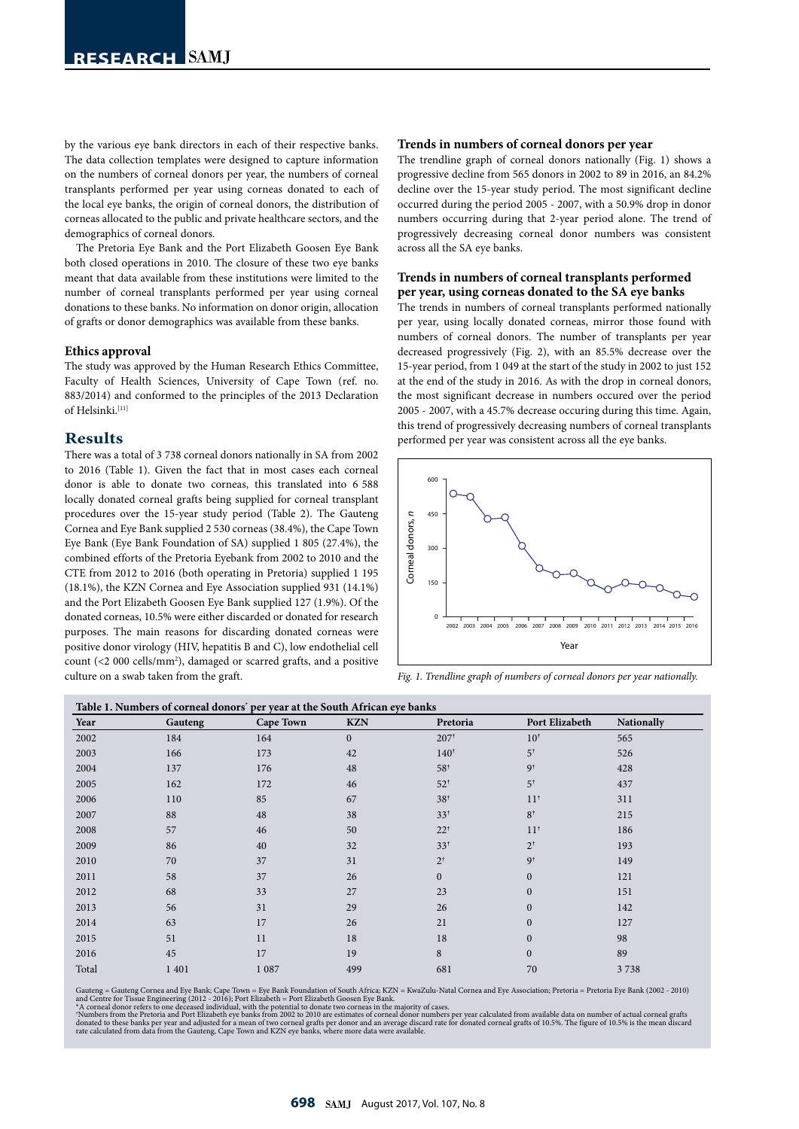by the various eye bank directors in each of their respective banks. The data collection templates were designed to capture information on the numbers of corneal donors per year, the numbers of corneal transplants performed per year using corneas donated to each of the local eye banks, the origin of corneal donors, the distribution of corneas allocated to the public and private healthcare sectors, and the demographics of corneal donors.

The Pretoria Eye Bank and the Port Elizabeth Goosen Eye Bank both closed operations in 2010. The closure of these two eye banks meant that data available from these institutions were limited to the number of corneal transplants performed per year using corneal donations to these banks. No information on donor origin, allocation of grafts or donor demographics was available from these banks.

#### **Ethics approval**

The study was approved by the Human Research Ethics Committee, Faculty of Health Sciences, University of Cape Town (ref. no. 883/2014) and conformed to the principles of the 2013 Declaration of Helsinki.[11]

#### **Results**

There was a total of 3 738 corneal donors nationally in SA from 2002 to 2016 (Table 1). Given the fact that in most cases each corneal donor is able to donate two corneas, this translated into 6 588 locally donated corneal grafts being supplied for corneal transplant procedures over the 15-year study period (Table 2). The Gauteng Cornea and Eye Bank supplied 2 530 corneas (38.4%), the Cape Town Eye Bank (Eye Bank Foundation of SA) supplied 1 805 (27.4%), the combined efforts of the Pretoria Eyebank from 2002 to 2010 and the CTE from 2012 to 2016 (both operating in Pretoria) supplied 1 195 (18.1%), the KZN Cornea and Eye Association supplied 931 (14.1%) and the Port Elizabeth Goosen Eye Bank supplied 127 (1.9%). Of the donated corneas, 10.5% were either discarded or donated for research purposes. The main reasons for discarding donated corneas were positive donor virology (HIV, hepatitis B and C), low endothelial cell count (<2 000 cells/mm2 ), damaged or scarred grafts, and a positive culture on a swab taken from the graft.

#### **Trends in numbers of corneal donors per year**

The trendline graph of corneal donors nationally (Fig. 1) shows a progressive decline from 565 donors in 2002 to 89 in 2016, an 84.2% decline over the 15-year study period. The most significant decline occurred during the period 2005 - 2007, with a 50.9% drop in donor numbers occurring during that 2-year period alone. The trend of progressively decreasing corneal donor numbers was consistent across all the SA eye banks.

### **Trends in numbers of corneal transplants performed per year, using corneas donated to the SA eye banks**

The trends in numbers of corneal transplants performed nationally per year, using locally donated corneas, mirror those found with numbers of corneal donors. The number of transplants per year decreased progressively (Fig. 2), with an 85.5% decrease over the 15-year period, from 1 049 at the start of the study in 2002 to just 152 at the end of the study in 2016. As with the drop in corneal donors, the most significant decrease in numbers occured over the period 2005 - 2007, with a 45.7% decrease occuring during this time. Again, this trend of progressively decreasing numbers of corneal transplants performed per year was consistent across all the eye banks.



*Fig. 1. Trendline graph of numbers of corneal donors per year nationally.*

| Table 1. Numbers of corneal donors' per year at the South African eye banks |         |                  |              |                 |                |                   |  |  |  |  |
|-----------------------------------------------------------------------------|---------|------------------|--------------|-----------------|----------------|-------------------|--|--|--|--|
| Year                                                                        | Gauteng | <b>Cape Town</b> | <b>KZN</b>   | Pretoria        | Port Elizabeth | <b>Nationally</b> |  |  |  |  |
| 2002                                                                        | 184     | 164              | $\mathbf{0}$ | $207^{\dagger}$ | $10^{\dagger}$ | 565               |  |  |  |  |
| 2003                                                                        | 166     | 173              | 42           | $140^{\dagger}$ | $5^{\dagger}$  | 526               |  |  |  |  |
| 2004                                                                        | 137     | 176              | 48           | $58^{\dagger}$  | 9 <sup>†</sup> | 428               |  |  |  |  |
| 2005                                                                        | 162     | 172              | 46           | $52^{\dagger}$  | $5^{\dagger}$  | 437               |  |  |  |  |
| 2006                                                                        | 110     | 85               | 67           | $38^{\dagger}$  | $11^{\dagger}$ | 311               |  |  |  |  |
| 2007                                                                        | 88      | 48               | 38           | $33^{+}$        | $8^{\dagger}$  | 215               |  |  |  |  |
| 2008                                                                        | 57      | 46               | 50           | $22^+$          | $11^{\dagger}$ | 186               |  |  |  |  |
| 2009                                                                        | 86      | 40               | 32           | 33 <sup>†</sup> | $2^{\dagger}$  | 193               |  |  |  |  |
| 2010                                                                        | 70      | 37               | 31           | $2^{\dagger}$   | 9 <sup>†</sup> | 149               |  |  |  |  |
| 2011                                                                        | 58      | 37               | 26           | $\overline{0}$  | $\mathbf{0}$   | 121               |  |  |  |  |
| 2012                                                                        | 68      | 33               | 27           | 23              | $\mathbf{0}$   | 151               |  |  |  |  |
| 2013                                                                        | 56      | 31               | 29           | 26              | $\mathbf{0}$   | 142               |  |  |  |  |
| 2014                                                                        | 63      | 17               | 26           | 21              | $\mathbf{0}$   | 127               |  |  |  |  |
| 2015                                                                        | 51      | 11               | 18           | 18              | $\mathbf{0}$   | 98                |  |  |  |  |
| 2016                                                                        | 45      | 17               | 19           | 8               | $\mathbf{0}$   | 89                |  |  |  |  |
| Total                                                                       | 1401    | 1 0 8 7          | 499          | 681             | 70             | 3738              |  |  |  |  |

t ca

Gauteng = Gauteng Cornea and Eye Bank; Cape Town = Eye Bank Foundation of South Africa; KZN = KwaZulu-Natal Cornea and Eye Association; Pretoria = Pretoria Eye Bank (2002 - 2010)<br>and Centre for Tissue Engineering (2012 - 2 rit<br>noi<br>dis<br>lab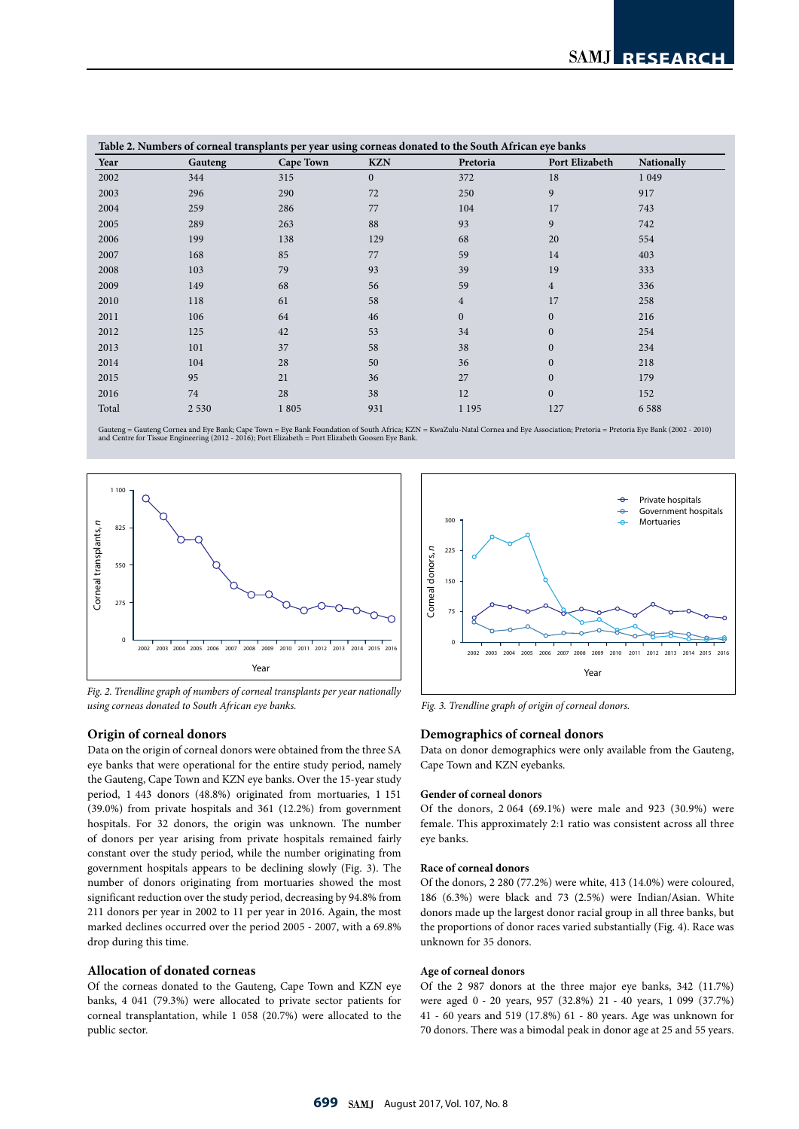| Table 2. Numbers of corneal transplants per year using corneas donated to the South African eye banks |         |                  |              |                |                  |                   |  |  |  |
|-------------------------------------------------------------------------------------------------------|---------|------------------|--------------|----------------|------------------|-------------------|--|--|--|
| Year                                                                                                  | Gauteng | <b>Cape Town</b> | <b>KZN</b>   | Pretoria       | Port Elizabeth   | <b>Nationally</b> |  |  |  |
| 2002                                                                                                  | 344     | 315              | $\mathbf{0}$ | 372            | 18               | 1 0 4 9           |  |  |  |
| 2003                                                                                                  | 296     | 290              | 72           | 250            | 9                | 917               |  |  |  |
| 2004                                                                                                  | 259     | 286              | 77           | 104            | 17               | 743               |  |  |  |
| 2005                                                                                                  | 289     | 263              | 88           | 93             | 9                | 742               |  |  |  |
| 2006                                                                                                  | 199     | 138              | 129          | 68             | 20               | 554               |  |  |  |
| 2007                                                                                                  | 168     | 85               | 77           | 59             | 14               | 403               |  |  |  |
| 2008                                                                                                  | 103     | 79               | 93           | 39             | 19               | 333               |  |  |  |
| 2009                                                                                                  | 149     | 68               | 56           | 59             | $\overline{4}$   | 336               |  |  |  |
| 2010                                                                                                  | 118     | 61               | 58           | $\overline{4}$ | 17               | 258               |  |  |  |
| 2011                                                                                                  | 106     | 64               | 46           | $\mathbf{0}$   | $\mathbf{0}$     | 216               |  |  |  |
| 2012                                                                                                  | 125     | 42               | 53           | 34             | $\mathbf{0}$     | 254               |  |  |  |
| 2013                                                                                                  | 101     | 37               | 58           | 38             | $\mathbf{0}$     | 234               |  |  |  |
| 2014                                                                                                  | 104     | 28               | 50           | 36             | $\mathbf{0}$     | 218               |  |  |  |
| 2015                                                                                                  | 95      | 21               | 36           | 27             | $\boldsymbol{0}$ | 179               |  |  |  |
| 2016                                                                                                  | 74      | 28               | 38           | 12             | $\mathbf{0}$     | 152               |  |  |  |
| Total                                                                                                 | 2 5 3 0 | 1805             | 931          | 1 1 9 5        | 127              | 6588              |  |  |  |

Corneal donors, *n*

Gauteng = Gauteng Cornea and Eye Bank; Cape Town = Eye Bank Foundation of South Africa; KZN = KwaZulu-Natal Cornea and Eye Association; Pretoria = Pretoria Eye Bank (2002 - 2010)<br>and Centre for Tissue Engineering (2012 - 2



*Fig. 2. Trendline graph of numbers of corneal transplants per year nationally using corneas donated to South African eye banks.*

# **Origin of corneal donors**

Data on the origin of corneal donors were obtained from the three SA eye banks that were operational for the entire study period, namely the Gauteng, Cape Town and KZN eye banks. Over the 15-year study period, 1 443 donors (48.8%) originated from mortuaries, 1 151 (39.0%) from private hospitals and 361 (12.2%) from government hospitals. For 32 donors, the origin was unknown. The number of donors per year arising from private hospitals remained fairly constant over the study period, while the number originating from government hospitals appears to be declining slowly (Fig. 3). The number of donors originating from mortuaries showed the most significant reduction over the study period, decreasing by 94.8% from 211 donors per year in 2002 to 11 per year in 2016. Again, the most marked declines occurred over the period 2005 - 2007, with a 69.8% drop during this time. eri<br>9.<br>08<br>01:

## **Allocation of donated corneas**

Of the corneas donated to the Gauteng, Cape Town and KZN eye banks, 4 041 (79.3%) were allocated to private sector patients for corneal transplantation, while  $1\,058\,$  (20.7%) were allocated to the public sector.



*Fig. 3. Trendline graph of origin of corneal donors.*

### **Demographics of corneal donors**

Data on donor demographics were only available from the Gauteng, Cape Town and KZN eyebanks.

#### **Gender of corneal donors**

Of the donors, 2 064 (69.1%) were male and 923 (30.9%) were female. This approximately 2:1 ratio was consistent across all three eye banks.

#### **Race of corneal donors**

Of the donors, 2 280 (77.2%) were white, 413 (14.0%) were coloured, 186 (6.3%) were black and 73 (2.5%) were Indian/Asian. White Indian donors made up the largest donor racial group in all three banks, but the proportions of donor races varied substantially (Fig. 4). Race was unknown for 35 donors.  $, 2, 2$ ð

#### **Age of corneal donors**

Of the 2 987 donors at the three major eye banks, 342 (11.7%) were aged 0 - 20 years, 957 (32.8%) 21 - 40 years, 1 099 (37.7%) 41 - 60 years and 519 (17.8%) 61 - 80 years. Age was unknown for 70 donors. There was a bimodal peak in donor age at 25 and 55 years.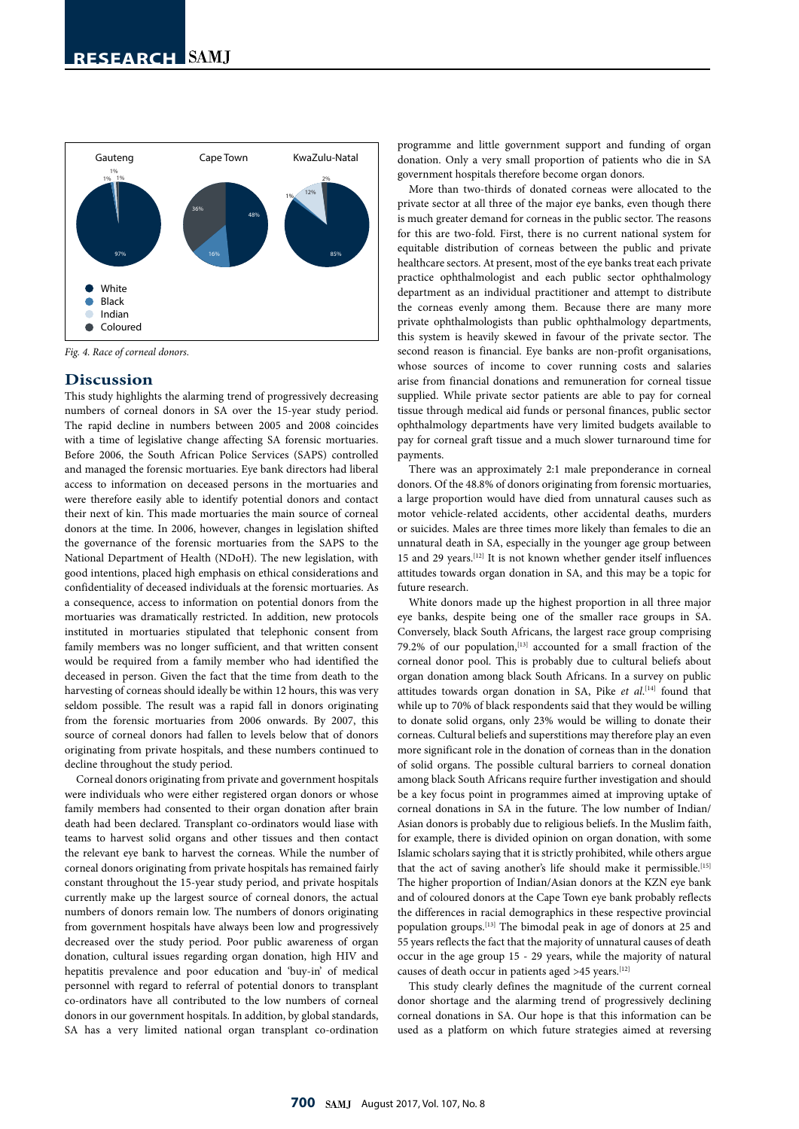75



*Fig. 4. Race of corneal donors.*

# **Discussion**

This study highlights the alarming trend of progressively decreasing numbers of corneal donors in SA over the 15-year study period. The rapid decline in numbers between 2005 and 2008 coincides with a time of legislative change affecting SA forensic mortuaries. Before 2006, the South African Police Services (SAPS) controlled and managed the forensic mortuaries. Eye bank directors had liberal access to information on deceased persons in the mortuaries and were therefore easily able to identify potential donors and contact their next of kin. This made mortuaries the main source of corneal donors at the time. In 2006, however, changes in legislation shifted the governance of the forensic mortuaries from the SAPS to the National Department of Health (NDoH). The new legislation, with good intentions, placed high emphasis on ethical considerations and confidentiality of deceased individuals at the forensic mortuaries. As a consequence, access to information on potential donors from the mortuaries was dramatically restricted. In addition, new protocols instituted in mortuaries stipulated that telephonic consent from family members was no longer sufficient, and that written consent would be required from a family member who had identified the deceased in person. Given the fact that the time from death to the harvesting of corneas should ideally be within 12 hours, this was very seldom possible. The result was a rapid fall in donors originating from the forensic mortuaries from 2006 onwards. By 2007, this source of corneal donors had fallen to levels below that of donors originating from private hospitals, and these numbers continued to decline throughout the study period.

Corneal donors originating from private and government hospitals were individuals who were either registered organ donors or whose family members had consented to their organ donation after brain death had been declared. Transplant co-ordinators would liase with teams to harvest solid organs and other tissues and then contact the relevant eye bank to harvest the corneas. While the number of corneal donors originating from private hospitals has remained fairly constant throughout the 15-year study period, and private hospitals currently make up the largest source of corneal donors, the actual numbers of donors remain low. The numbers of donors originating from government hospitals have always been low and progressively decreased over the study period. Poor public awareness of organ donation, cultural issues regarding organ donation, high HIV and hepatitis prevalence and poor education and 'buy-in' of medical personnel with regard to referral of potential donors to transplant co-ordinators have all contributed to the low numbers of corneal donors in our government hospitals. In addition, by global standards, SA has a very limited national organ transplant co-ordination

programme and little government support and funding of organ donation. Only a very small proportion of patients who die in SA government hospitals therefore become organ donors.

More than two-thirds of donated corneas were allocated to the private sector at all three of the major eye banks, even though there is much greater demand for corneas in the public sector. The reasons for this are two-fold. First, there is no current national system for equitable distribution of corneas between the public and private healthcare sectors. At present, most of the eye banks treat each private practice ophthalmologist and each public sector ophthalmology department as an individual practitioner and attempt to distribute the corneas evenly among them. Because there are many more private ophthalmologists than public ophthalmology departments, this system is heavily skewed in favour of the private sector. The second reason is financial. Eye banks are non-profit organisations, whose sources of income to cover running costs and salaries arise from financial donations and remuneration for corneal tissue supplied. While private sector patients are able to pay for corneal tissue through medical aid funds or personal finances, public sector ophthalmology departments have very limited budgets available to pay for corneal graft tissue and a much slower turnaround time for payments.

There was an approximately 2:1 male preponderance in corneal donors. Of the 48.8% of donors originating from forensic mortuaries, a large proportion would have died from unnatural causes such as motor vehicle-related accidents, other accidental deaths, murders or suicides. Males are three times more likely than females to die an unnatural death in SA, especially in the younger age group between 15 and 29 years.[12] It is not known whether gender itself influences attitudes towards organ donation in SA, and this may be a topic for future research.

White donors made up the highest proportion in all three major eye banks, despite being one of the smaller race groups in SA. Conversely, black South Africans, the largest race group comprising 79.2% of our population,<sup>[13]</sup> accounted for a small fraction of the corneal donor pool. This is probably due to cultural beliefs about organ donation among black South Africans. In a survey on public attitudes towards organ donation in SA, Pike et al.<sup>[14]</sup> found that while up to 70% of black respondents said that they would be willing to donate solid organs, only 23% would be willing to donate their corneas. Cultural beliefs and superstitions may therefore play an even more significant role in the donation of corneas than in the donation of solid organs. The possible cultural barriers to corneal donation among black South Africans require further investigation and should be a key focus point in programmes aimed at improving uptake of corneal donations in SA in the future. The low number of Indian/ Asian donors is probably due to religious beliefs. In the Muslim faith, for example, there is divided opinion on organ donation, with some Islamic scholars saying that it is strictly prohibited, while others argue that the act of saving another's life should make it permissible.<sup>[15]</sup> The higher proportion of Indian/Asian donors at the KZN eye bank and of coloured donors at the Cape Town eye bank probably reflects the differences in racial demographics in these respective provincial population groups.[13] The bimodal peak in age of donors at 25 and 55 years reflects the fact that the majority of unnatural causes of death occur in the age group 15 - 29 years, while the majority of natural causes of death occur in patients aged >45 years.<sup>[12]</sup>

This study clearly defines the magnitude of the current corneal donor shortage and the alarming trend of progressively declining corneal donations in SA. Our hope is that this information can be used as a platform on which future strategies aimed at reversing